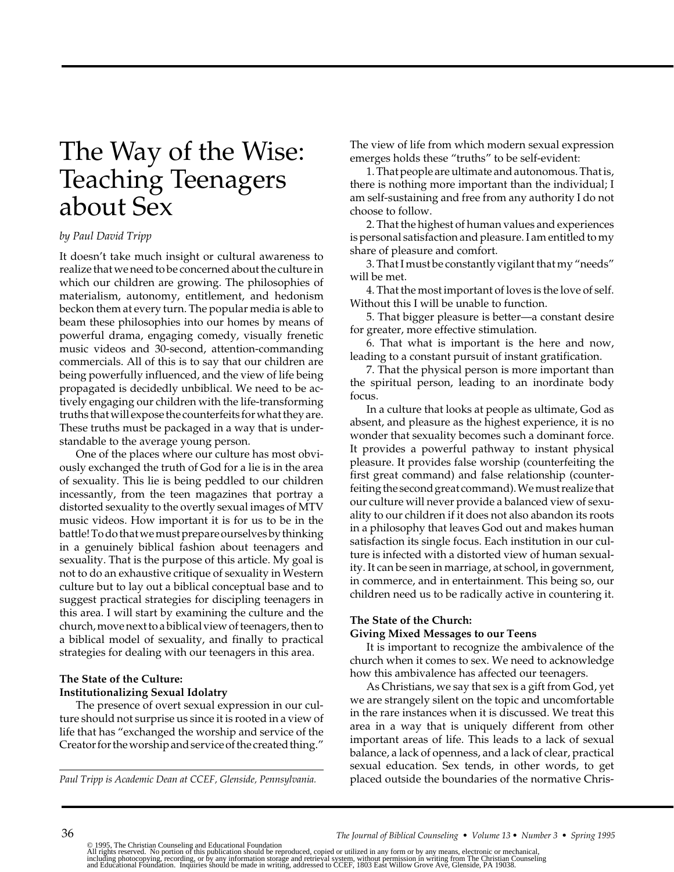# The Way of the Wise: Teaching Teenagers about Sex

#### *by Paul David Tripp*

It doesn't take much insight or cultural awareness to realize that we need to be concerned about the culture in which our children are growing. The philosophies of materialism, autonomy, entitlement, and hedonism beckon them at every turn. The popular media is able to beam these philosophies into our homes by means of powerful drama, engaging comedy, visually frenetic music videos and 30-second, attention-commanding commercials. All of this is to say that our children are being powerfully influenced, and the view of life being propagated is decidedly unbiblical. We need to be actively engaging our children with the life-transforming truths that will expose the counterfeits for what they are. These truths must be packaged in a way that is understandable to the average young person.

One of the places where our culture has most obviously exchanged the truth of God for a lie is in the area of sexuality. This lie is being peddled to our children incessantly, from the teen magazines that portray a distorted sexuality to the overtly sexual images of MTV music videos. How important it is for us to be in the battle! To do that we must prepare ourselves by thinking in a genuinely biblical fashion about teenagers and sexuality. That is the purpose of this article. My goal is not to do an exhaustive critique of sexuality in Western culture but to lay out a biblical conceptual base and to suggest practical strategies for discipling teenagers in this area. I will start by examining the culture and the church, move next to a biblical view of teenagers, then to a biblical model of sexuality, and finally to practical strategies for dealing with our teenagers in this area.

## **The State of the Culture: Institutionalizing Sexual Idolatry**

The presence of overt sexual expression in our culture should not surprise us since it is rooted in a view of life that has "exchanged the worship and service of the Creator for the worship and service of the created thing."

*Paul Tripp is Academic Dean at CCEF, Glenside, Pennsylvania.*

The view of life from which modern sexual expression emerges holds these "truths" to be self-evident:

1. That people are ultimate and autonomous. That is, there is nothing more important than the individual; I am self-sustaining and free from any authority I do not choose to follow.

2. That the highest of human values and experiences is personal satisfaction and pleasure. I am entitled to my share of pleasure and comfort.

3. That I must be constantly vigilant that my "needs" will be met.

4. That the most important of loves is the love of self. Without this I will be unable to function.

5. That bigger pleasure is better—a constant desire for greater, more effective stimulation.

6. That what is important is the here and now, leading to a constant pursuit of instant gratification.

7. That the physical person is more important than the spiritual person, leading to an inordinate body focus.

In a culture that looks at people as ultimate, God as absent, and pleasure as the highest experience, it is no wonder that sexuality becomes such a dominant force. It provides a powerful pathway to instant physical pleasure. It provides false worship (counterfeiting the first great command) and false relationship (counterfeiting the second great command). We must realize that our culture will never provide a balanced view of sexuality to our children if it does not also abandon its roots in a philosophy that leaves God out and makes human satisfaction its single focus. Each institution in our culture is infected with a distorted view of human sexuality. It can be seen in marriage, at school, in government, in commerce, and in entertainment. This being so, our children need us to be radically active in countering it.

#### **The State of the Church:**

#### **Giving Mixed Messages to our Teens**

It is important to recognize the ambivalence of the church when it comes to sex. We need to acknowledge how this ambivalence has affected our teenagers.

As Christians, we say that sex is a gift from God, yet we are strangely silent on the topic and uncomfortable in the rare instances when it is discussed. We treat this area in a way that is uniquely different from other important areas of life. This leads to a lack of sexual balance, a lack of openness, and a lack of clear, practical sexual education. Sex tends, in other words, to get placed outside the boundaries of the normative Chris-

© 1995, The Christian Counseling and Educational Foundation<br>All rights reserved. No portion of this publication should be reproduced, copied or utilized in any form or by any means, electronic or mechanical,<br>including phot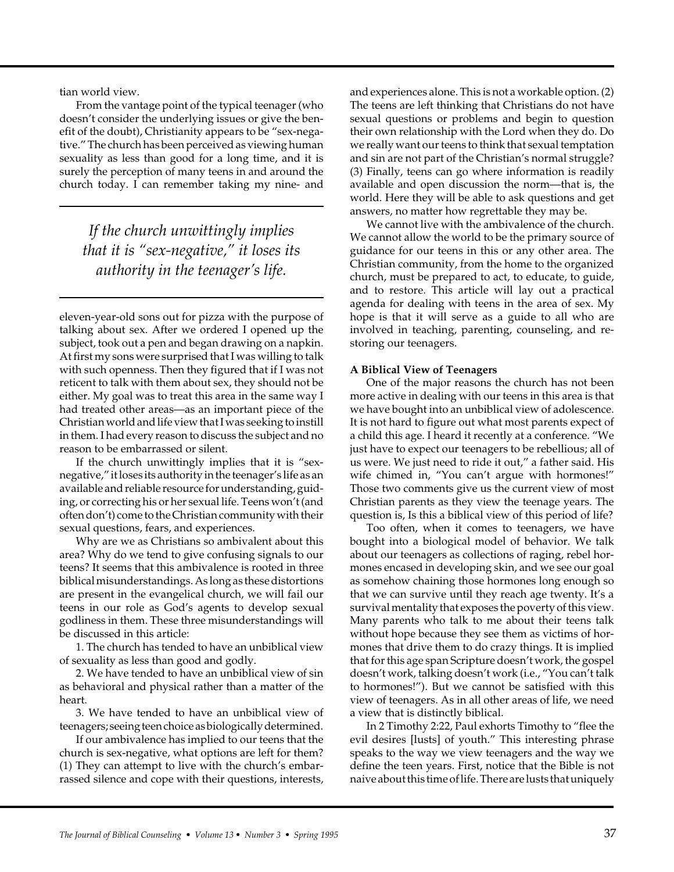tian world view.

From the vantage point of the typical teenager (who doesn't consider the underlying issues or give the benefit of the doubt), Christianity appears to be "sex-negative." The church has been perceived as viewing human sexuality as less than good for a long time, and it is surely the perception of many teens in and around the church today. I can remember taking my nine- and

*If the church unwittingly implies that it is "sex-negative," it loses its authority in the teenager's life.*

eleven-year-old sons out for pizza with the purpose of talking about sex. After we ordered I opened up the subject, took out a pen and began drawing on a napkin. At first my sons were surprised that I was willing to talk with such openness. Then they figured that if I was not reticent to talk with them about sex, they should not be either. My goal was to treat this area in the same way I had treated other areas—as an important piece of the Christian world and life view that I was seeking to instill in them. I had every reason to discuss the subject and no reason to be embarrassed or silent.

If the church unwittingly implies that it is "sexnegative," it loses its authority in the teenager's life as an available and reliable resource for understanding, guiding, or correcting his or her sexual life. Teens won't (and often don't) come to the Christian community with their sexual questions, fears, and experiences.

Why are we as Christians so ambivalent about this area? Why do we tend to give confusing signals to our teens? It seems that this ambivalence is rooted in three biblical misunderstandings. As long as these distortions are present in the evangelical church, we will fail our teens in our role as God's agents to develop sexual godliness in them. These three misunderstandings will be discussed in this article:

1. The church has tended to have an unbiblical view of sexuality as less than good and godly.

2. We have tended to have an unbiblical view of sin as behavioral and physical rather than a matter of the heart.

3. We have tended to have an unbiblical view of teenagers; seeing teen choice as biologically determined.

If our ambivalence has implied to our teens that the church is sex-negative, what options are left for them? (1) They can attempt to live with the church's embarrassed silence and cope with their questions, interests,

and experiences alone. This is not a workable option. (2) The teens are left thinking that Christians do not have sexual questions or problems and begin to question their own relationship with the Lord when they do. Do we really want our teens to think that sexual temptation and sin are not part of the Christian's normal struggle? (3) Finally, teens can go where information is readily available and open discussion the norm—that is, the world. Here they will be able to ask questions and get answers, no matter how regrettable they may be.

We cannot live with the ambivalence of the church. We cannot allow the world to be the primary source of guidance for our teens in this or any other area. The Christian community, from the home to the organized church, must be prepared to act, to educate, to guide, and to restore. This article will lay out a practical agenda for dealing with teens in the area of sex. My hope is that it will serve as a guide to all who are involved in teaching, parenting, counseling, and restoring our teenagers.

# **A Biblical View of Teenagers**

One of the major reasons the church has not been more active in dealing with our teens in this area is that we have bought into an unbiblical view of adolescence. It is not hard to figure out what most parents expect of a child this age. I heard it recently at a conference. "We just have to expect our teenagers to be rebellious; all of us were. We just need to ride it out," a father said. His wife chimed in, "You can't argue with hormones!" Those two comments give us the current view of most Christian parents as they view the teenage years. The question is, Is this a biblical view of this period of life?

Too often, when it comes to teenagers, we have bought into a biological model of behavior. We talk about our teenagers as collections of raging, rebel hormones encased in developing skin, and we see our goal as somehow chaining those hormones long enough so that we can survive until they reach age twenty. It's a survival mentality that exposes the poverty of this view. Many parents who talk to me about their teens talk without hope because they see them as victims of hormones that drive them to do crazy things. It is implied that for this age span Scripture doesn't work, the gospel doesn't work, talking doesn't work (i.e., "You can't talk to hormones!"). But we cannot be satisfied with this view of teenagers. As in all other areas of life, we need a view that is distinctly biblical.

In 2 Timothy 2:22, Paul exhorts Timothy to "flee the evil desires [lusts] of youth." This interesting phrase speaks to the way we view teenagers and the way we define the teen years. First, notice that the Bible is not naive about this time of life. There are lusts that uniquely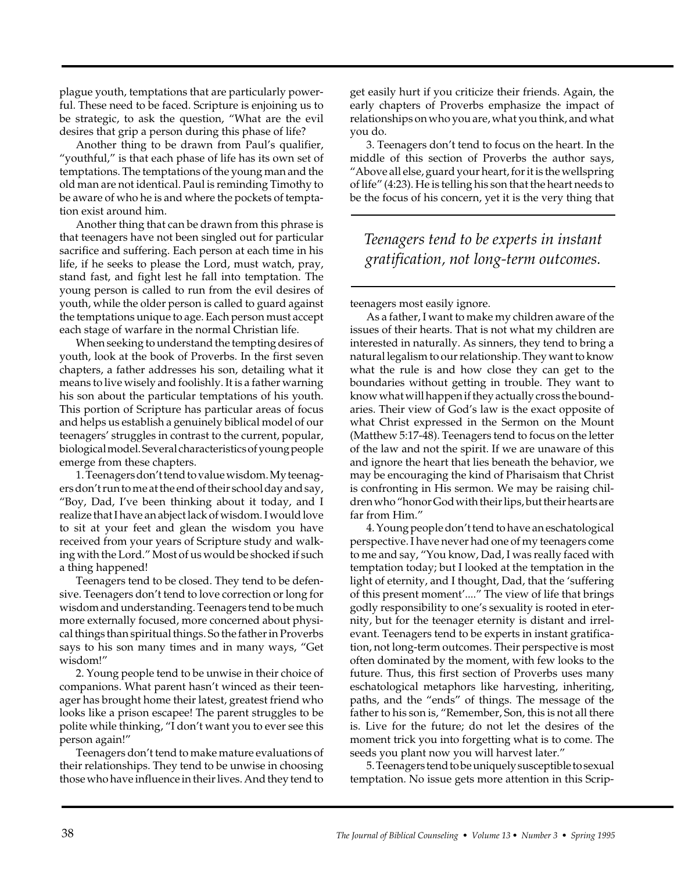plague youth, temptations that are particularly powerful. These need to be faced. Scripture is enjoining us to be strategic, to ask the question, "What are the evil desires that grip a person during this phase of life?

Another thing to be drawn from Paul's qualifier, "youthful," is that each phase of life has its own set of temptations. The temptations of the young man and the old man are not identical. Paul is reminding Timothy to be aware of who he is and where the pockets of temptation exist around him.

Another thing that can be drawn from this phrase is that teenagers have not been singled out for particular sacrifice and suffering. Each person at each time in his life, if he seeks to please the Lord, must watch, pray, stand fast, and fight lest he fall into temptation. The young person is called to run from the evil desires of youth, while the older person is called to guard against the temptations unique to age. Each person must accept each stage of warfare in the normal Christian life.

When seeking to understand the tempting desires of youth, look at the book of Proverbs. In the first seven chapters, a father addresses his son, detailing what it means to live wisely and foolishly. It is a father warning his son about the particular temptations of his youth. This portion of Scripture has particular areas of focus and helps us establish a genuinely biblical model of our teenagers' struggles in contrast to the current, popular, biological model. Several characteristics of young people emerge from these chapters.

1. Teenagers don't tend to value wisdom. My teenagers don't run to me at the end of their school day and say, "Boy, Dad, I've been thinking about it today, and I realize that I have an abject lack of wisdom. I would love to sit at your feet and glean the wisdom you have received from your years of Scripture study and walking with the Lord." Most of us would be shocked if such a thing happened!

Teenagers tend to be closed. They tend to be defensive. Teenagers don't tend to love correction or long for wisdom and understanding. Teenagers tend to be much more externally focused, more concerned about physical things than spiritual things. So the father in Proverbs says to his son many times and in many ways, "Get wisdom!"

2. Young people tend to be unwise in their choice of companions. What parent hasn't winced as their teenager has brought home their latest, greatest friend who looks like a prison escapee! The parent struggles to be polite while thinking, "I don't want you to ever see this person again!"

Teenagers don't tend to make mature evaluations of their relationships. They tend to be unwise in choosing those who have influence in their lives. And they tend to

get easily hurt if you criticize their friends. Again, the early chapters of Proverbs emphasize the impact of relationships on who you are, what you think, and what you do.

3. Teenagers don't tend to focus on the heart. In the middle of this section of Proverbs the author says, "Above all else, guard your heart, for it is the wellspring of life" (4:23). He is telling his son that the heart needs to be the focus of his concern, yet it is the very thing that

*Teenagers tend to be experts in instant gratification, not long-term outcomes.*

teenagers most easily ignore.

As a father, I want to make my children aware of the issues of their hearts. That is not what my children are interested in naturally. As sinners, they tend to bring a natural legalism to our relationship. They want to know what the rule is and how close they can get to the boundaries without getting in trouble. They want to know what will happen if they actually cross the boundaries. Their view of God's law is the exact opposite of what Christ expressed in the Sermon on the Mount (Matthew 5:17-48). Teenagers tend to focus on the letter of the law and not the spirit. If we are unaware of this and ignore the heart that lies beneath the behavior, we may be encouraging the kind of Pharisaism that Christ is confronting in His sermon. We may be raising children who "honor God with their lips, but their hearts are far from Him."

4. Young people don't tend to have an eschatological perspective. I have never had one of my teenagers come to me and say, "You know, Dad, I was really faced with temptation today; but I looked at the temptation in the light of eternity, and I thought, Dad, that the 'suffering of this present moment'...." The view of life that brings godly responsibility to one's sexuality is rooted in eternity, but for the teenager eternity is distant and irrelevant. Teenagers tend to be experts in instant gratification, not long-term outcomes. Their perspective is most often dominated by the moment, with few looks to the future. Thus, this first section of Proverbs uses many eschatological metaphors like harvesting, inheriting, paths, and the "ends" of things. The message of the father to his son is, "Remember, Son, this is not all there is. Live for the future; do not let the desires of the moment trick you into forgetting what is to come. The seeds you plant now you will harvest later."

5. Teenagers tend to be uniquely susceptible to sexual temptation. No issue gets more attention in this Scrip-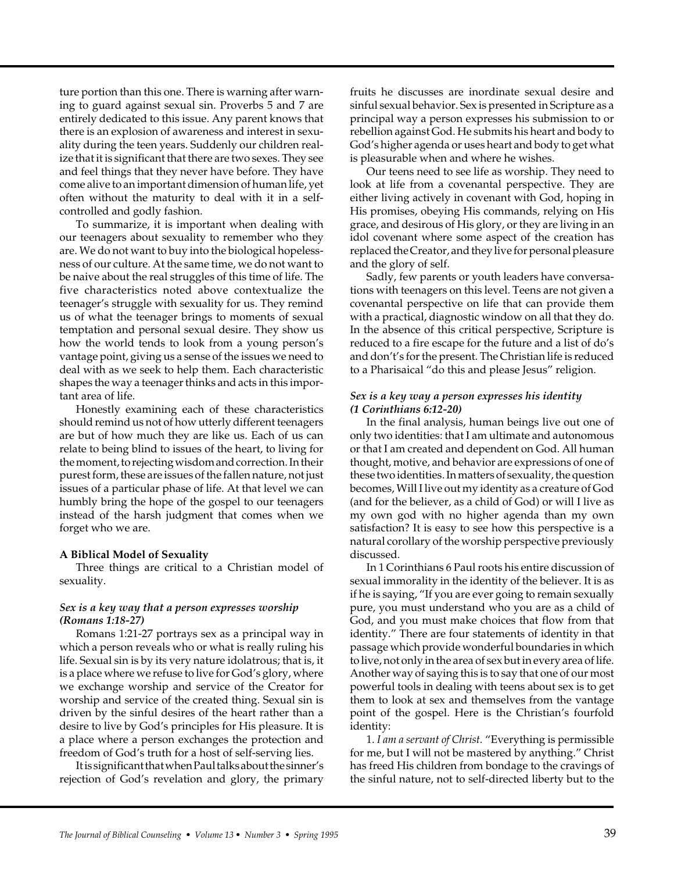ture portion than this one. There is warning after warning to guard against sexual sin. Proverbs 5 and 7 are entirely dedicated to this issue. Any parent knows that there is an explosion of awareness and interest in sexuality during the teen years. Suddenly our children realize that it is significant that there are two sexes. They see and feel things that they never have before. They have come alive to an important dimension of human life, yet often without the maturity to deal with it in a selfcontrolled and godly fashion.

To summarize, it is important when dealing with our teenagers about sexuality to remember who they are. We do not want to buy into the biological hopelessness of our culture. At the same time, we do not want to be naive about the real struggles of this time of life. The five characteristics noted above contextualize the teenager's struggle with sexuality for us. They remind us of what the teenager brings to moments of sexual temptation and personal sexual desire. They show us how the world tends to look from a young person's vantage point, giving us a sense of the issues we need to deal with as we seek to help them. Each characteristic shapes the way a teenager thinks and acts in this important area of life.

Honestly examining each of these characteristics should remind us not of how utterly different teenagers are but of how much they are like us. Each of us can relate to being blind to issues of the heart, to living for the moment, to rejecting wisdom and correction. In their purest form, these are issues of the fallen nature, not just issues of a particular phase of life. At that level we can humbly bring the hope of the gospel to our teenagers instead of the harsh judgment that comes when we forget who we are.

#### **A Biblical Model of Sexuality**

Three things are critical to a Christian model of sexuality.

## *Sex is a key way that a person expresses worship (Romans 1:18-27)*

Romans 1:21-27 portrays sex as a principal way in which a person reveals who or what is really ruling his life. Sexual sin is by its very nature idolatrous; that is, it is a place where we refuse to live for God's glory, where we exchange worship and service of the Creator for worship and service of the created thing. Sexual sin is driven by the sinful desires of the heart rather than a desire to live by God's principles for His pleasure. It is a place where a person exchanges the protection and freedom of God's truth for a host of self-serving lies.

It is significant that when Paul talks about the sinner's rejection of God's revelation and glory, the primary

fruits he discusses are inordinate sexual desire and sinful sexual behavior. Sex is presented in Scripture as a principal way a person expresses his submission to or rebellion against God. He submits his heart and body to God's higher agenda or uses heart and body to get what is pleasurable when and where he wishes.

Our teens need to see life as worship. They need to look at life from a covenantal perspective. They are either living actively in covenant with God, hoping in His promises, obeying His commands, relying on His grace, and desirous of His glory, or they are living in an idol covenant where some aspect of the creation has replaced the Creator, and they live for personal pleasure and the glory of self.

Sadly, few parents or youth leaders have conversations with teenagers on this level. Teens are not given a covenantal perspective on life that can provide them with a practical, diagnostic window on all that they do. In the absence of this critical perspective, Scripture is reduced to a fire escape for the future and a list of do's and don't's for the present. The Christian life is reduced to a Pharisaical "do this and please Jesus" religion.

## *Sex is a key way a person expresses his identity (1 Corinthians 6:12-20)*

In the final analysis, human beings live out one of only two identities: that I am ultimate and autonomous or that I am created and dependent on God. All human thought, motive, and behavior are expressions of one of these two identities. In matters of sexuality, the question becomes, Will I live out my identity as a creature of God (and for the believer, as a child of God) or will I live as my own god with no higher agenda than my own satisfaction? It is easy to see how this perspective is a natural corollary of the worship perspective previously discussed.

In 1 Corinthians 6 Paul roots his entire discussion of sexual immorality in the identity of the believer. It is as if he is saying, "If you are ever going to remain sexually pure, you must understand who you are as a child of God, and you must make choices that flow from that identity." There are four statements of identity in that passage which provide wonderful boundaries in which to live, not only in the area of sex but in every area of life. Another way of saying this is to say that one of our most powerful tools in dealing with teens about sex is to get them to look at sex and themselves from the vantage point of the gospel. Here is the Christian's fourfold identity:

1. *I am a servant of Christ.* "Everything is permissible for me, but I will not be mastered by anything." Christ has freed His children from bondage to the cravings of the sinful nature, not to self-directed liberty but to the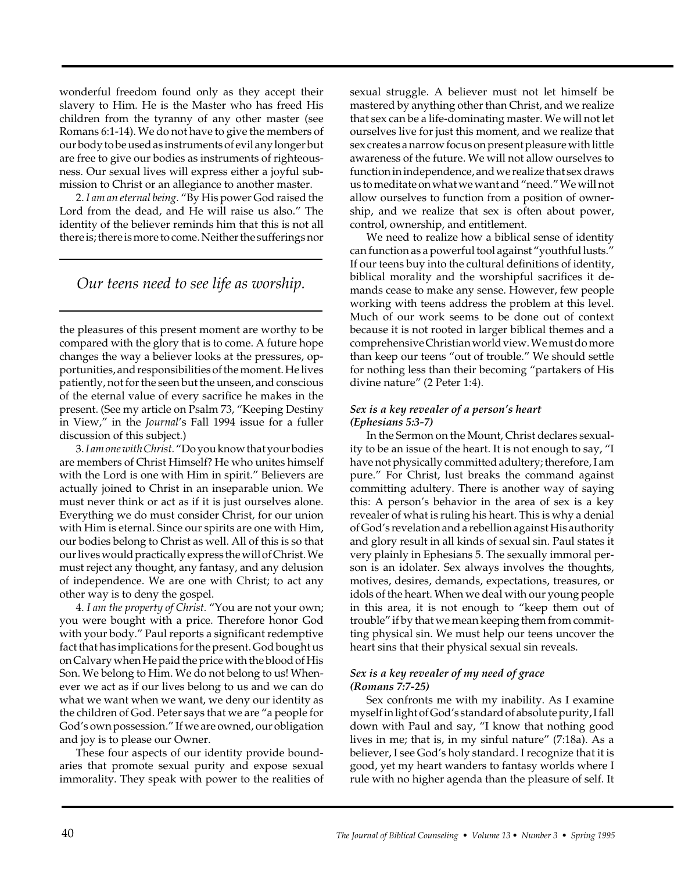wonderful freedom found only as they accept their slavery to Him. He is the Master who has freed His children from the tyranny of any other master (see Romans 6:1-14). We do not have to give the members of our body to be used as instruments of evil any longer but are free to give our bodies as instruments of righteousness. Our sexual lives will express either a joyful submission to Christ or an allegiance to another master.

2. *I am an eternal being.* "By His power God raised the Lord from the dead, and He will raise us also." The identity of the believer reminds him that this is not all there is; there is more to come. Neither the sufferings nor

*Our teens need to see life as worship.*

the pleasures of this present moment are worthy to be compared with the glory that is to come. A future hope changes the way a believer looks at the pressures, opportunities, and responsibilities of the moment. He lives patiently, not for the seen but the unseen, and conscious of the eternal value of every sacrifice he makes in the present. (See my article on Psalm 73, "Keeping Destiny in View," in the *Journal*'s Fall 1994 issue for a fuller discussion of this subject.)

3. *I am one with Christ.* "Do you know that your bodies are members of Christ Himself? He who unites himself with the Lord is one with Him in spirit." Believers are actually joined to Christ in an inseparable union. We must never think or act as if it is just ourselves alone. Everything we do must consider Christ, for our union with Him is eternal. Since our spirits are one with Him, our bodies belong to Christ as well. All of this is so that our lives would practically express the will of Christ. We must reject any thought, any fantasy, and any delusion of independence. We are one with Christ; to act any other way is to deny the gospel.

4. *I am the property of Christ.* "You are not your own; you were bought with a price. Therefore honor God with your body." Paul reports a significant redemptive fact that has implications for the present. God bought us on Calvary when He paid the price with the blood of His Son. We belong to Him. We do not belong to us! Whenever we act as if our lives belong to us and we can do what we want when we want, we deny our identity as the children of God. Peter says that we are "a people for God's own possession." If we are owned, our obligation and joy is to please our Owner.

These four aspects of our identity provide boundaries that promote sexual purity and expose sexual immorality. They speak with power to the realities of sexual struggle. A believer must not let himself be mastered by anything other than Christ, and we realize that sex can be a life-dominating master. We will not let ourselves live for just this moment, and we realize that sex creates a narrow focus on present pleasure with little awareness of the future. We will not allow ourselves to function in independence, and we realize that sex draws us to meditate on what we want and "need." We will not allow ourselves to function from a position of ownership, and we realize that sex is often about power, control, ownership, and entitlement.

We need to realize how a biblical sense of identity can function as a powerful tool against "youthful lusts." If our teens buy into the cultural definitions of identity, biblical morality and the worshipful sacrifices it demands cease to make any sense. However, few people working with teens address the problem at this level. Much of our work seems to be done out of context because it is not rooted in larger biblical themes and a comprehensive Christian world view. We must do more than keep our teens "out of trouble." We should settle for nothing less than their becoming "partakers of His divine nature" (2 Peter 1:4).

# *Sex is a key revealer of a person's heart (Ephesians 5:3-7)*

In the Sermon on the Mount, Christ declares sexuality to be an issue of the heart. It is not enough to say, "I have not physically committed adultery; therefore, I am pure." For Christ, lust breaks the command against committing adultery. There is another way of saying this: A person's behavior in the area of sex is a key revealer of what is ruling his heart. This is why a denial of God's revelation and a rebellion against His authority and glory result in all kinds of sexual sin. Paul states it very plainly in Ephesians 5. The sexually immoral person is an idolater. Sex always involves the thoughts, motives, desires, demands, expectations, treasures, or idols of the heart. When we deal with our young people in this area, it is not enough to "keep them out of trouble" if by that we mean keeping them from committing physical sin. We must help our teens uncover the heart sins that their physical sexual sin reveals.

# *Sex is a key revealer of my need of grace (Romans 7:7-25)*

Sex confronts me with my inability. As I examine myself in light of God's standard of absolute purity, I fall down with Paul and say, "I know that nothing good lives in me; that is, in my sinful nature" (7:18a). As a believer, I see God's holy standard. I recognize that it is good, yet my heart wanders to fantasy worlds where I rule with no higher agenda than the pleasure of self. It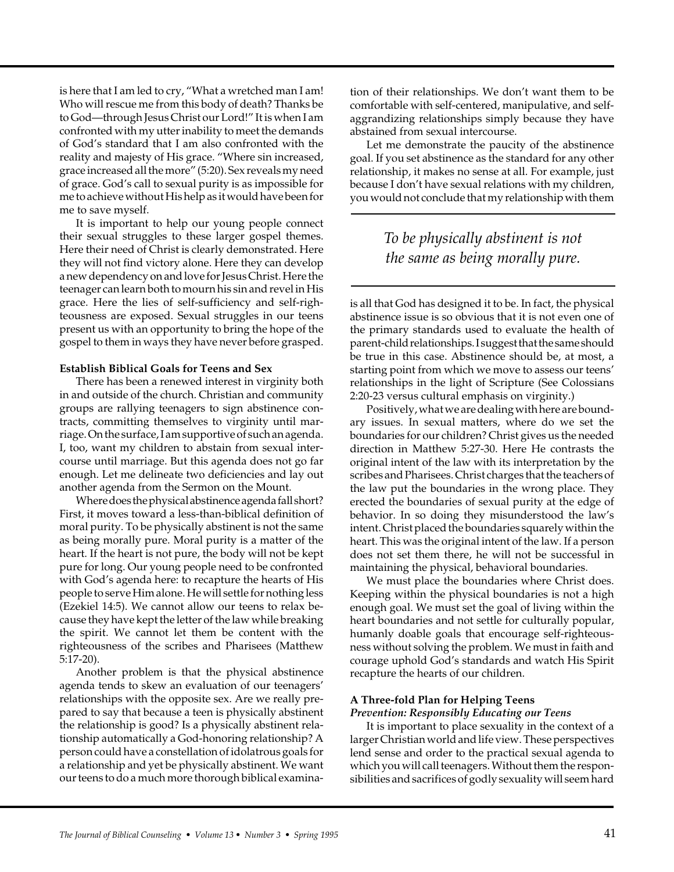is here that I am led to cry, "What a wretched man I am! Who will rescue me from this body of death? Thanks be to God—through Jesus Christ our Lord!" It is when I am confronted with my utter inability to meet the demands of God's standard that I am also confronted with the reality and majesty of His grace. "Where sin increased, grace increased all the more" (5:20). Sex reveals my need of grace. God's call to sexual purity is as impossible for me to achieve without His help as it would have been for me to save myself.

It is important to help our young people connect their sexual struggles to these larger gospel themes. Here their need of Christ is clearly demonstrated. Here they will not find victory alone. Here they can develop a new dependency on and love for Jesus Christ. Here the teenager can learn both to mourn his sin and revel in His grace. Here the lies of self-sufficiency and self-righteousness are exposed. Sexual struggles in our teens present us with an opportunity to bring the hope of the gospel to them in ways they have never before grasped.

#### **Establish Biblical Goals for Teens and Sex**

There has been a renewed interest in virginity both in and outside of the church. Christian and community groups are rallying teenagers to sign abstinence contracts, committing themselves to virginity until marriage. On the surface, I am supportive of such an agenda. I, too, want my children to abstain from sexual intercourse until marriage. But this agenda does not go far enough. Let me delineate two deficiencies and lay out another agenda from the Sermon on the Mount.

Where does the physical abstinence agenda fall short? First, it moves toward a less-than-biblical definition of moral purity. To be physically abstinent is not the same as being morally pure. Moral purity is a matter of the heart. If the heart is not pure, the body will not be kept pure for long. Our young people need to be confronted with God's agenda here: to recapture the hearts of His people to serve Him alone. He will settle for nothing less (Ezekiel 14:5). We cannot allow our teens to relax because they have kept the letter of the law while breaking the spirit. We cannot let them be content with the righteousness of the scribes and Pharisees (Matthew 5:17-20).

Another problem is that the physical abstinence agenda tends to skew an evaluation of our teenagers' relationships with the opposite sex. Are we really prepared to say that because a teen is physically abstinent the relationship is good? Is a physically abstinent relationship automatically a God-honoring relationship? A person could have a constellation of idolatrous goals for a relationship and yet be physically abstinent. We want our teens to do a much more thorough biblical examination of their relationships. We don't want them to be comfortable with self-centered, manipulative, and selfaggrandizing relationships simply because they have abstained from sexual intercourse.

Let me demonstrate the paucity of the abstinence goal. If you set abstinence as the standard for any other relationship, it makes no sense at all. For example, just because I don't have sexual relations with my children, you would not conclude that my relationship with them

# *To be physically abstinent is not the same as being morally pure.*

is all that God has designed it to be. In fact, the physical abstinence issue is so obvious that it is not even one of the primary standards used to evaluate the health of parent-child relationships. I suggest that the same should be true in this case. Abstinence should be, at most, a starting point from which we move to assess our teens' relationships in the light of Scripture (See Colossians 2:20-23 versus cultural emphasis on virginity.)

Positively, what we are dealing with here are boundary issues. In sexual matters, where do we set the boundaries for our children? Christ gives us the needed direction in Matthew 5:27-30. Here He contrasts the original intent of the law with its interpretation by the scribes and Pharisees. Christ charges that the teachers of the law put the boundaries in the wrong place. They erected the boundaries of sexual purity at the edge of behavior. In so doing they misunderstood the law's intent. Christ placed the boundaries squarely within the heart. This was the original intent of the law. If a person does not set them there, he will not be successful in maintaining the physical, behavioral boundaries.

We must place the boundaries where Christ does. Keeping within the physical boundaries is not a high enough goal. We must set the goal of living within the heart boundaries and not settle for culturally popular, humanly doable goals that encourage self-righteousness without solving the problem. We must in faith and courage uphold God's standards and watch His Spirit recapture the hearts of our children.

# **A Three-fold Plan for Helping Teens**

# *Prevention: Responsibly Educating our Teens*

It is important to place sexuality in the context of a larger Christian world and life view. These perspectives lend sense and order to the practical sexual agenda to which you will call teenagers. Without them the responsibilities and sacrifices of godly sexuality will seem hard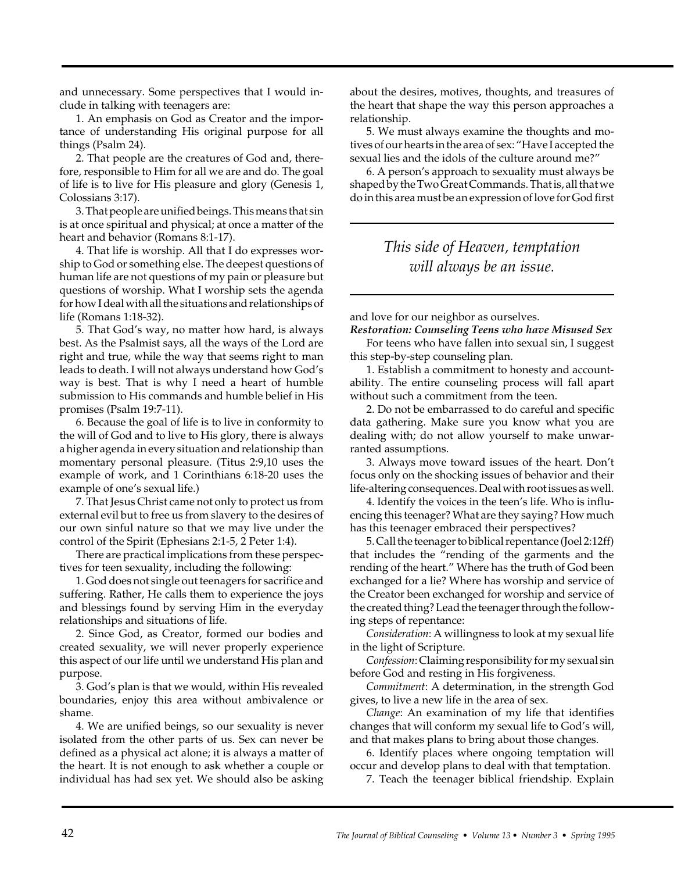and unnecessary. Some perspectives that I would include in talking with teenagers are:

1. An emphasis on God as Creator and the importance of understanding His original purpose for all things (Psalm 24).

2. That people are the creatures of God and, therefore, responsible to Him for all we are and do. The goal of life is to live for His pleasure and glory (Genesis 1, Colossians 3:17).

3. That people are unified beings. This means that sin is at once spiritual and physical; at once a matter of the heart and behavior (Romans 8:1-17).

4. That life is worship. All that I do expresses worship to God or something else. The deepest questions of human life are not questions of my pain or pleasure but questions of worship. What I worship sets the agenda for how I deal with all the situations and relationships of life (Romans 1:18-32).

5. That God's way, no matter how hard, is always best. As the Psalmist says, all the ways of the Lord are right and true, while the way that seems right to man leads to death. I will not always understand how God's way is best. That is why I need a heart of humble submission to His commands and humble belief in His promises (Psalm 19:7-11).

6. Because the goal of life is to live in conformity to the will of God and to live to His glory, there is always a higher agenda in every situation and relationship than momentary personal pleasure. (Titus 2:9,10 uses the example of work, and 1 Corinthians 6:18-20 uses the example of one's sexual life.)

7. That Jesus Christ came not only to protect us from external evil but to free us from slavery to the desires of our own sinful nature so that we may live under the control of the Spirit (Ephesians 2:1-5, 2 Peter 1:4).

There are practical implications from these perspectives for teen sexuality, including the following:

1. God does not single out teenagers for sacrifice and suffering. Rather, He calls them to experience the joys and blessings found by serving Him in the everyday relationships and situations of life.

2. Since God, as Creator, formed our bodies and created sexuality, we will never properly experience this aspect of our life until we understand His plan and purpose.

3. God's plan is that we would, within His revealed boundaries, enjoy this area without ambivalence or shame.

4. We are unified beings, so our sexuality is never isolated from the other parts of us. Sex can never be defined as a physical act alone; it is always a matter of the heart. It is not enough to ask whether a couple or individual has had sex yet. We should also be asking

about the desires, motives, thoughts, and treasures of the heart that shape the way this person approaches a relationship.

5. We must always examine the thoughts and motives of our hearts in the area of sex: "Have I accepted the sexual lies and the idols of the culture around me?"

6. A person's approach to sexuality must always be shaped by the Two Great Commands. That is, all that we do in this area must be an expression of love for God first

# *This side of Heaven, temptation will always be an issue.*

and love for our neighbor as ourselves.

*Restoration: Counseling Teens who have Misused Sex* For teens who have fallen into sexual sin, I suggest this step-by-step counseling plan.

1. Establish a commitment to honesty and accountability. The entire counseling process will fall apart without such a commitment from the teen.

2. Do not be embarrassed to do careful and specific data gathering. Make sure you know what you are dealing with; do not allow yourself to make unwarranted assumptions.

3. Always move toward issues of the heart. Don't focus only on the shocking issues of behavior and their life-altering consequences. Deal with root issues as well.

4. Identify the voices in the teen's life. Who is influencing this teenager? What are they saying? How much has this teenager embraced their perspectives?

5. Call the teenager to biblical repentance (Joel 2:12ff) that includes the "rending of the garments and the rending of the heart." Where has the truth of God been exchanged for a lie? Where has worship and service of the Creator been exchanged for worship and service of the created thing? Lead the teenager through the following steps of repentance:

*Consideration*: A willingness to look at my sexual life in the light of Scripture.

*Confession*: Claiming responsibility for my sexual sin before God and resting in His forgiveness.

*Commitment*: A determination, in the strength God gives, to live a new life in the area of sex.

*Change*: An examination of my life that identifies changes that will conform my sexual life to God's will, and that makes plans to bring about those changes.

6. Identify places where ongoing temptation will occur and develop plans to deal with that temptation.

7. Teach the teenager biblical friendship. Explain